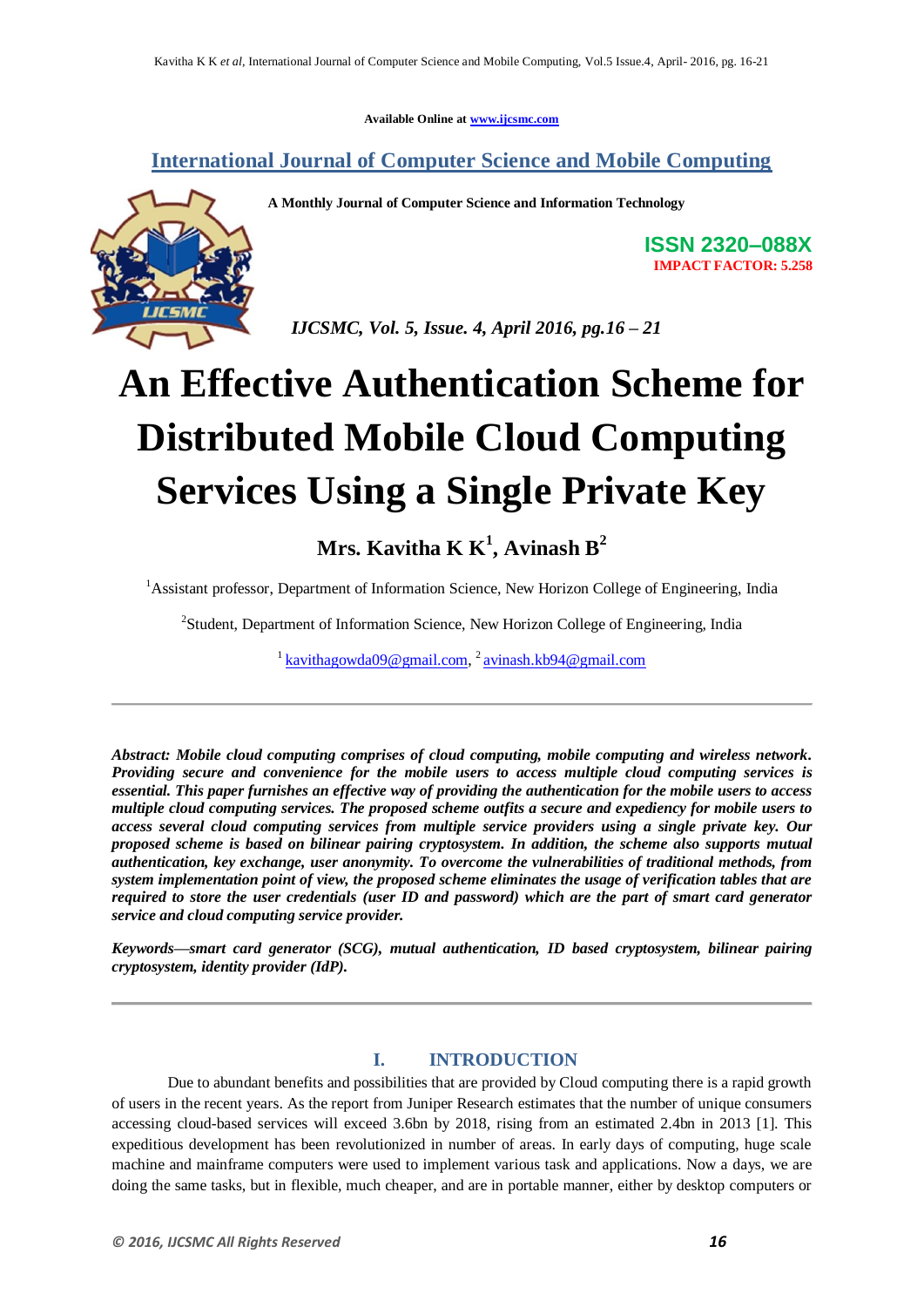**Available Online at www.ijcsmc.com**

## **International Journal of Computer Science and Mobile Computing**

**A Monthly Journal of Computer Science and Information Technology**

**ISSN 2320–088X IMPACT FACTOR: 5.258**

 *IJCSMC, Vol. 5, Issue. 4, April 2016, pg.16 – 21*

# **An Effective Authentication Scheme for Distributed Mobile Cloud Computing Services Using a Single Private Key**

# **Mrs. Kavitha K K<sup>1</sup> , Avinash B<sup>2</sup>**

<sup>1</sup> Assistant professor, Department of Information Science, New Horizon College of Engineering, India

<sup>2</sup>Student, Department of Information Science, New Horizon College of Engineering, India

<sup>1</sup> kavithagowda09@gmail.com, <sup>2</sup> avinash.kb94@gmail.com

*Abstract: Mobile cloud computing comprises of cloud computing, mobile computing and wireless network. Providing secure and convenience for the mobile users to access multiple cloud computing services is essential. This paper furnishes an effective way of providing the authentication for the mobile users to access multiple cloud computing services. The proposed scheme outfits a secure and expediency for mobile users to access several cloud computing services from multiple service providers using a single private key. Our proposed scheme is based on bilinear pairing cryptosystem. In addition, the scheme also supports mutual authentication, key exchange, user anonymity. To overcome the vulnerabilities of traditional methods, from system implementation point of view, the proposed scheme eliminates the usage of verification tables that are required to store the user credentials (user ID and password) which are the part of smart card generator service and cloud computing service provider.*

*Keywords—smart card generator (SCG), mutual authentication, ID based cryptosystem, bilinear pairing cryptosystem, identity provider (IdP).*

### **I. INTRODUCTION**

Due to abundant benefits and possibilities that are provided by Cloud computing there is a rapid growth of users in the recent years. As the report from Juniper Research estimates that the number of unique consumers accessing cloud-based services will exceed 3.6bn by 2018, rising from an estimated 2.4bn in 2013 [1]. This expeditious development has been revolutionized in number of areas. In early days of computing, huge scale machine and mainframe computers were used to implement various task and applications. Now a days, we are doing the same tasks, but in flexible, much cheaper, and are in portable manner, either by desktop computers or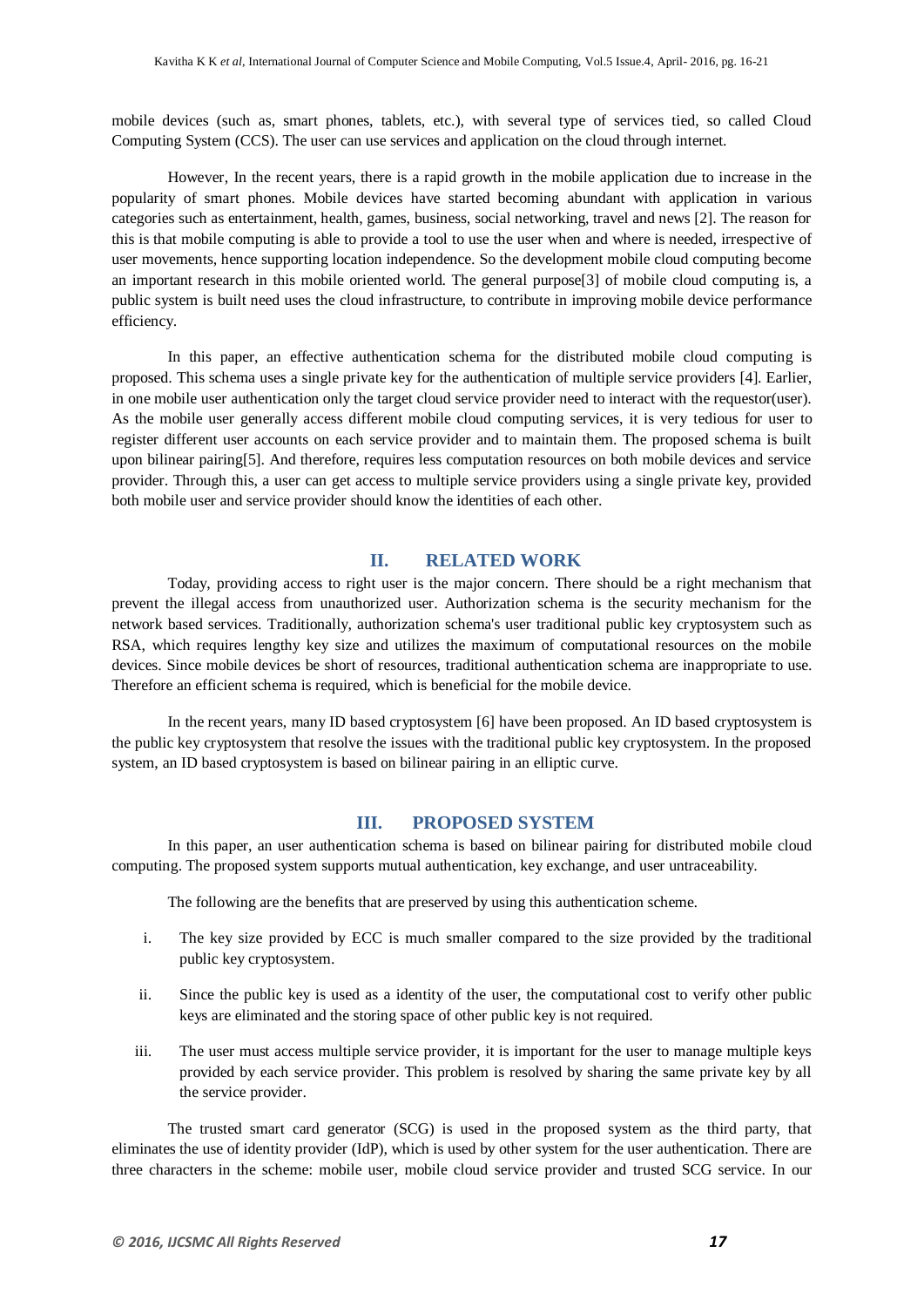mobile devices (such as, smart phones, tablets, etc.), with several type of services tied, so called Cloud Computing System (CCS). The user can use services and application on the cloud through internet.

However, In the recent years, there is a rapid growth in the mobile application due to increase in the popularity of smart phones. Mobile devices have started becoming abundant with application in various categories such as entertainment, health, games, business, social networking, travel and news [2]. The reason for this is that mobile computing is able to provide a tool to use the user when and where is needed, irrespective of user movements, hence supporting location independence. So the development mobile cloud computing become an important research in this mobile oriented world. The general purpose[3] of mobile cloud computing is, a public system is built need uses the cloud infrastructure, to contribute in improving mobile device performance efficiency.

In this paper, an effective authentication schema for the distributed mobile cloud computing is proposed. This schema uses a single private key for the authentication of multiple service providers [4]. Earlier, in one mobile user authentication only the target cloud service provider need to interact with the requestor(user). As the mobile user generally access different mobile cloud computing services, it is very tedious for user to register different user accounts on each service provider and to maintain them. The proposed schema is built upon bilinear pairing[5]. And therefore, requires less computation resources on both mobile devices and service provider. Through this, a user can get access to multiple service providers using a single private key, provided both mobile user and service provider should know the identities of each other.

#### **II. RELATED WORK**

Today, providing access to right user is the major concern. There should be a right mechanism that prevent the illegal access from unauthorized user. Authorization schema is the security mechanism for the network based services. Traditionally, authorization schema's user traditional public key cryptosystem such as RSA, which requires lengthy key size and utilizes the maximum of computational resources on the mobile devices. Since mobile devices be short of resources, traditional authentication schema are inappropriate to use. Therefore an efficient schema is required, which is beneficial for the mobile device.

In the recent years, many ID based cryptosystem [6] have been proposed. An ID based cryptosystem is the public key cryptosystem that resolve the issues with the traditional public key cryptosystem. In the proposed system, an ID based cryptosystem is based on bilinear pairing in an elliptic curve.

#### **III. PROPOSED SYSTEM**

In this paper, an user authentication schema is based on bilinear pairing for distributed mobile cloud computing. The proposed system supports mutual authentication, key exchange, and user untraceability.

The following are the benefits that are preserved by using this authentication scheme.

- i. The key size provided by ECC is much smaller compared to the size provided by the traditional public key cryptosystem.
- ii. Since the public key is used as a identity of the user, the computational cost to verify other public keys are eliminated and the storing space of other public key is not required.
- iii. The user must access multiple service provider, it is important for the user to manage multiple keys provided by each service provider. This problem is resolved by sharing the same private key by all the service provider.

The trusted smart card generator (SCG) is used in the proposed system as the third party, that eliminates the use of identity provider (IdP), which is used by other system for the user authentication. There are three characters in the scheme: mobile user, mobile cloud service provider and trusted SCG service. In our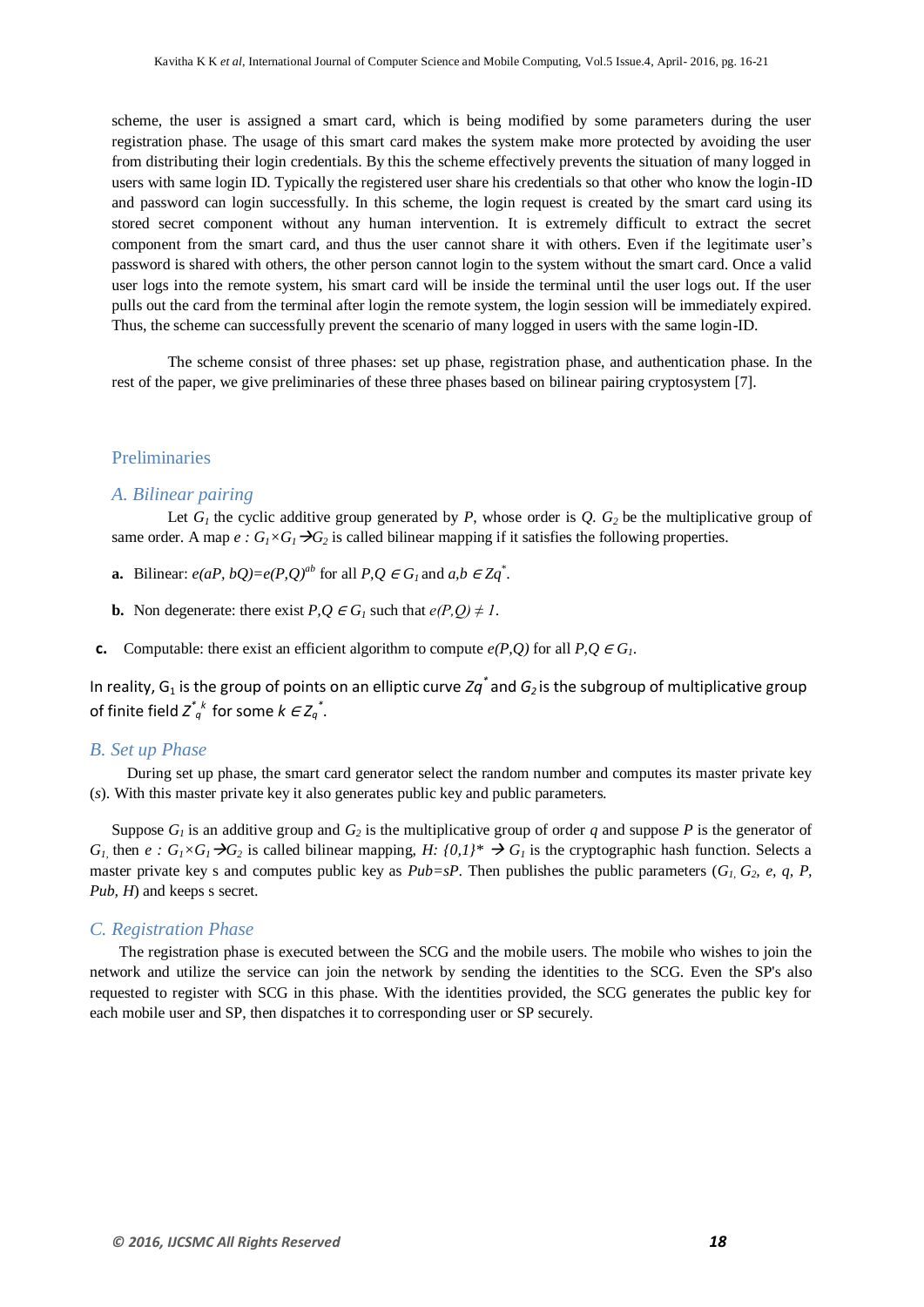scheme, the user is assigned a smart card, which is being modified by some parameters during the user registration phase. The usage of this smart card makes the system make more protected by avoiding the user from distributing their login credentials. By this the scheme effectively prevents the situation of many logged in users with same login ID. Typically the registered user share his credentials so that other who know the login-ID and password can login successfully. In this scheme, the login request is created by the smart card using its stored secret component without any human intervention. It is extremely difficult to extract the secret component from the smart card, and thus the user cannot share it with others. Even if the legitimate user's password is shared with others, the other person cannot login to the system without the smart card. Once a valid user logs into the remote system, his smart card will be inside the terminal until the user logs out. If the user pulls out the card from the terminal after login the remote system, the login session will be immediately expired. Thus, the scheme can successfully prevent the scenario of many logged in users with the same login-ID.

The scheme consist of three phases: set up phase, registration phase, and authentication phase. In the rest of the paper, we give preliminaries of these three phases based on bilinear pairing cryptosystem [7].

#### Preliminaries

#### *A. Bilinear pairing*

Let  $G_l$  the cyclic additive group generated by *P*, whose order is  $Q_l$ .  $G_2$  be the multiplicative group of same order. A map  $e : G_1 \times G_1 \rightarrow G_2$  is called bilinear mapping if it satisfies the following properties.

- **a.** Bilinear:  $e(aP, bQ) = e(P, Q)^{ab}$  for all  $P, Q \in G_I$  and  $a, b \in Zq^*$ .
- **b.** Non degenerate: there exist  $P, Q \in G$ <sub>*l*</sub> such that  $e(P, Q) \neq 1$ .
- **c.** Computable: there exist an efficient algorithm to compute  $e(P,Q)$  for all  $P,Q \in G_1$ .

In reality, G<sub>1</sub> is the group of points on an elliptic curve Zq<sup>\*</sup> and G<sub>2</sub> is the subgroup of multiplicative group of finite field  $Z^{*}_{q}$ <sup>\*</sup> for some  $k \in Z_{q}^{*}$ .

#### *B. Set up Phase*

 During set up phase, the smart card generator select the random number and computes its master private key (*s*). With this master private key it also generates public key and public parameters.

Suppose  $G_l$  is an additive group and  $G_2$  is the multiplicative group of order *q* and suppose *P* is the generator of *G*<sub>*I*</sub>, then *e* :  $G_I \times G_I \rightarrow G_2$  is called bilinear mapping, *H:*  $\{0,1\}^* \rightarrow G_I$  is the cryptographic hash function. Selects a master private key s and computes public key as  $Pub=sP$ . Then publishes the public parameters  $(G_1, G_2, e, q, P)$ , *Pub, H*) and keeps s secret.

#### *C. Registration Phase*

 The registration phase is executed between the SCG and the mobile users. The mobile who wishes to join the network and utilize the service can join the network by sending the identities to the SCG. Even the SP's also requested to register with SCG in this phase. With the identities provided, the SCG generates the public key for each mobile user and SP, then dispatches it to corresponding user or SP securely.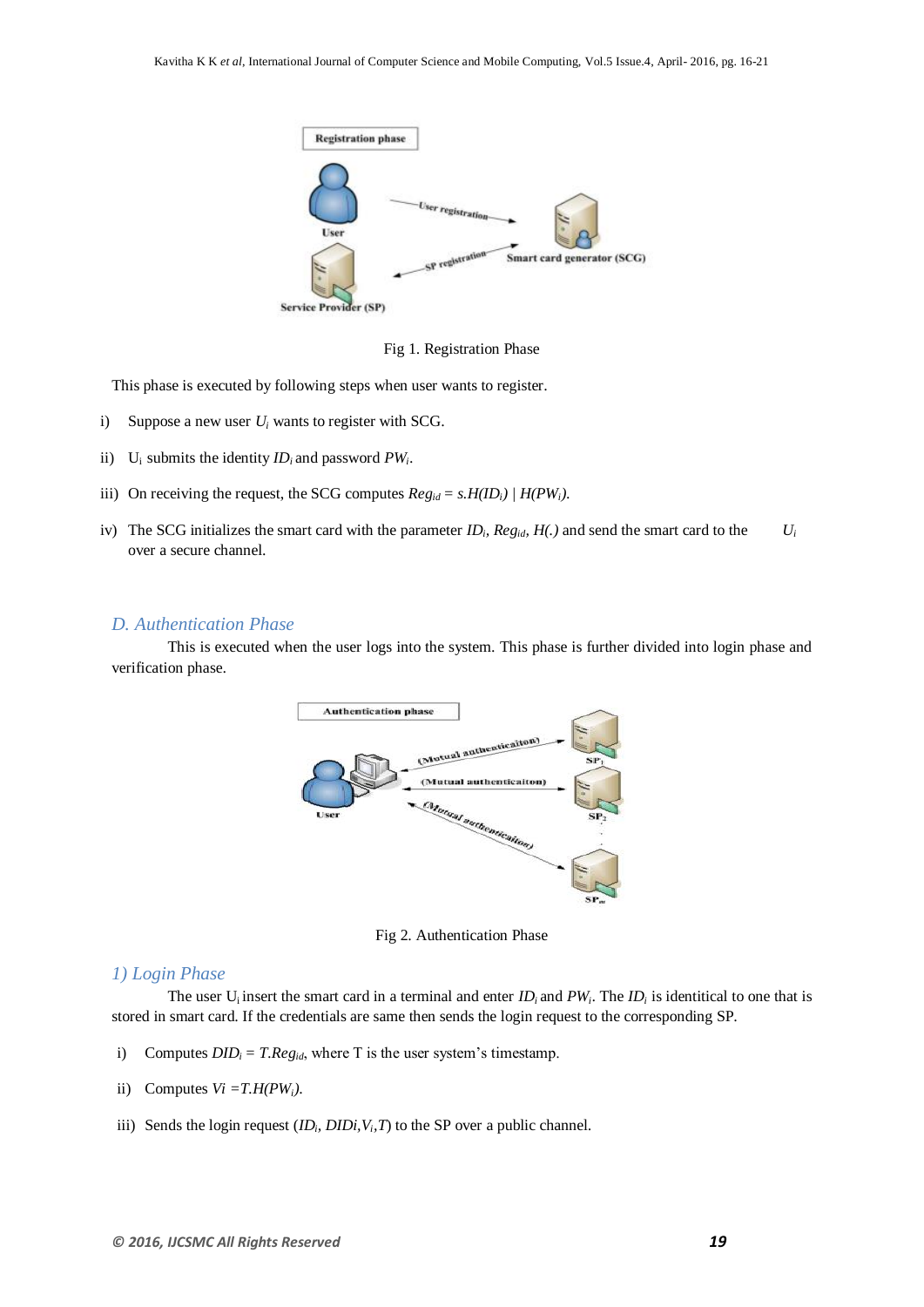

Fig 1. Registration Phase

This phase is executed by following steps when user wants to register.

- i) Suppose a new user *U<sup>i</sup>* wants to register with SCG.
- ii) U<sub>i</sub> submits the identity  $ID_i$  and password  $PW_i$ .
- iii) On receiving the request, the SCG computes  $Reg_{id} = s.H(ID_i) / H(PW_i)$ .
- iv) The SCG initializes the smart card with the parameter  $ID_i$ ,  $Reg_{id}$ ,  $H(.)$  and send the smart card to the  $U_i$ over a secure channel.

#### *D. Authentication Phase*

This is executed when the user logs into the system. This phase is further divided into login phase and verification phase.



Fig 2. Authentication Phase

#### *1) Login Phase*

The user  $U_i$  insert the smart card in a terminal and enter  $ID_i$  and  $PW_i$ . The  $ID_i$  is identitical to one that is stored in smart card. If the credentials are same then sends the login request to the corresponding SP.

- i) Computes  $DID_i = T. Reg_{id}$ , where T is the user system's timestamp.
- ii) Computes  $Vi = T.H(PW_i)$ .
- iii) Sends the login request  $(ID_i, DIDi, V_i, T)$  to the SP over a public channel.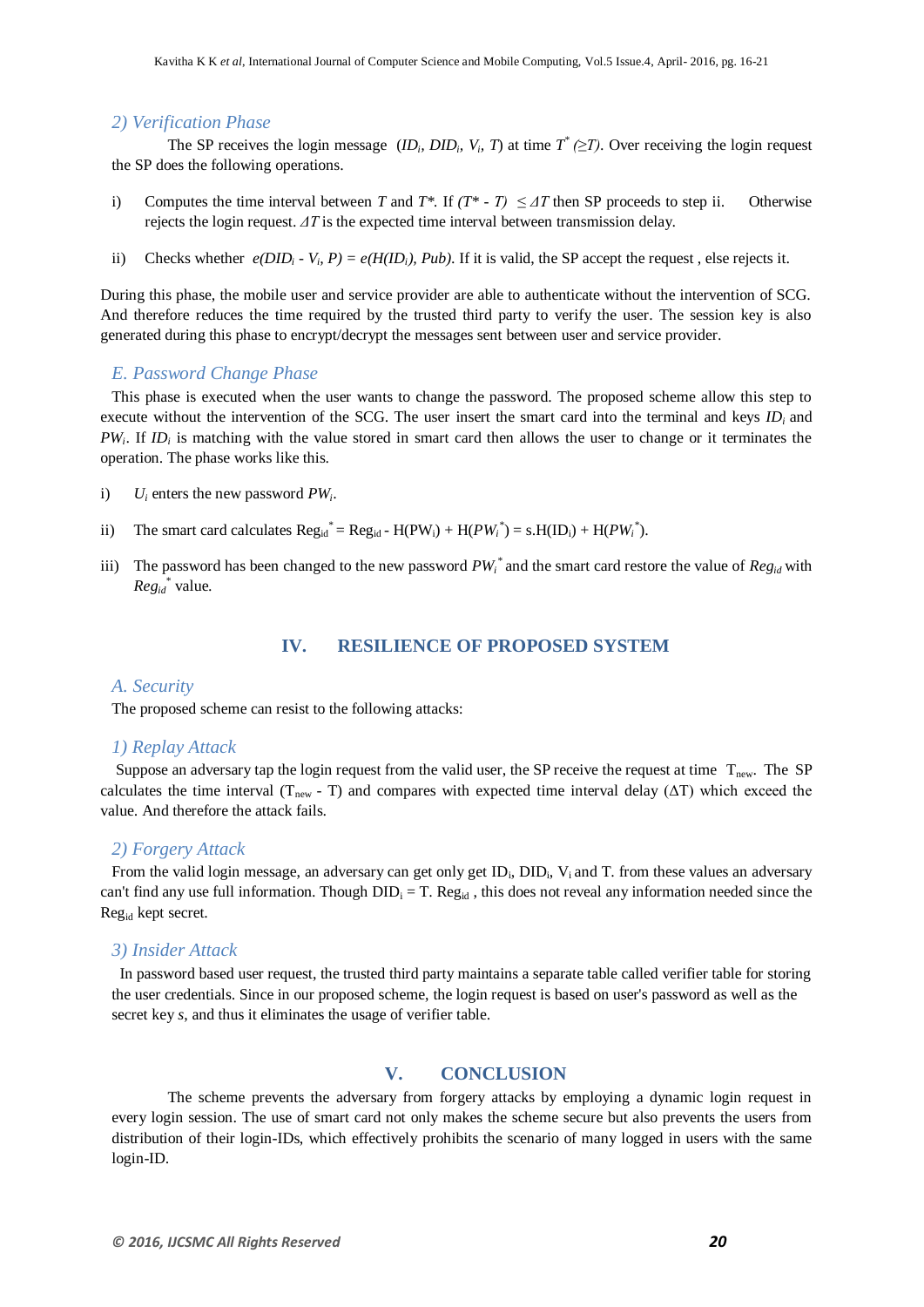#### *2) Verification Phase*

The SP receives the login message  $(ID_i, DID_i, V_i, T)$  at time  $T^* (\geq T)$ . Over receiving the login request the SP does the following operations.

- i) Computes the time interval between *T* and *T\**. If  $(T^* T) \leq \Delta T$  then SP proceeds to step ii. Otherwise rejects the login request. *ΔT* is the expected time interval between transmission delay.
- ii) Checks whether  $e(DID_i V_i, P) = e(H(ID_i), Pub)$ . If it is valid, the SP accept the request, else rejects it.

During this phase, the mobile user and service provider are able to authenticate without the intervention of SCG. And therefore reduces the time required by the trusted third party to verify the user. The session key is also generated during this phase to encrypt/decrypt the messages sent between user and service provider.

#### *E. Password Change Phase*

This phase is executed when the user wants to change the password. The proposed scheme allow this step to execute without the intervention of the SCG. The user insert the smart card into the terminal and keys *IDi* and *PW<sup>i</sup>* . If *ID<sup>i</sup>* is matching with the value stored in smart card then allows the user to change or it terminates the operation. The phase works like this.

- i)  $U_i$  enters the new password  $PW_i$ .
- ii) The smart card calculates  $\text{Reg}_{\text{id}}^* = \text{Reg}_{\text{id}} \text{H}(\text{PW}_i) + \text{H}(\text{PW}_i^*) = \text{s}.\text{H}(\text{ID}_i) + \text{H}(\text{PW}_i^*).$
- iii) The password has been changed to the new password  $PW_i^*$  and the smart card restore the value of  $Reg_{id}$  with *Regid \** value.

#### **IV. RESILIENCE OF PROPOSED SYSTEM**

#### *A. Security*

The proposed scheme can resist to the following attacks:

#### *1) Replay Attack*

Suppose an adversary tap the login request from the valid user, the SP receive the request at time  $T_{\text{new}}$ . The SP calculates the time interval (T<sub>new</sub> - T) and compares with expected time interval delay ( $\Delta T$ ) which exceed the value. And therefore the attack fails.

#### *2) Forgery Attack*

From the valid login message, an adversary can get only get ID<sub>i</sub>, DID<sub>i</sub>, V<sub>i</sub> and T. from these values an adversary can't find any use full information. Though  $DID_i = T$ . Reg<sub>id</sub>, this does not reveal any information needed since the Regid kept secret.

#### *3) Insider Attack*

 In password based user request, the trusted third party maintains a separate table called verifier table for storing the user credentials. Since in our proposed scheme, the login request is based on user's password as well as the secret key *s*, and thus it eliminates the usage of verifier table.

#### **V. CONCLUSION**

The scheme prevents the adversary from forgery attacks by employing a dynamic login request in every login session. The use of smart card not only makes the scheme secure but also prevents the users from distribution of their login-IDs, which effectively prohibits the scenario of many logged in users with the same login-ID.